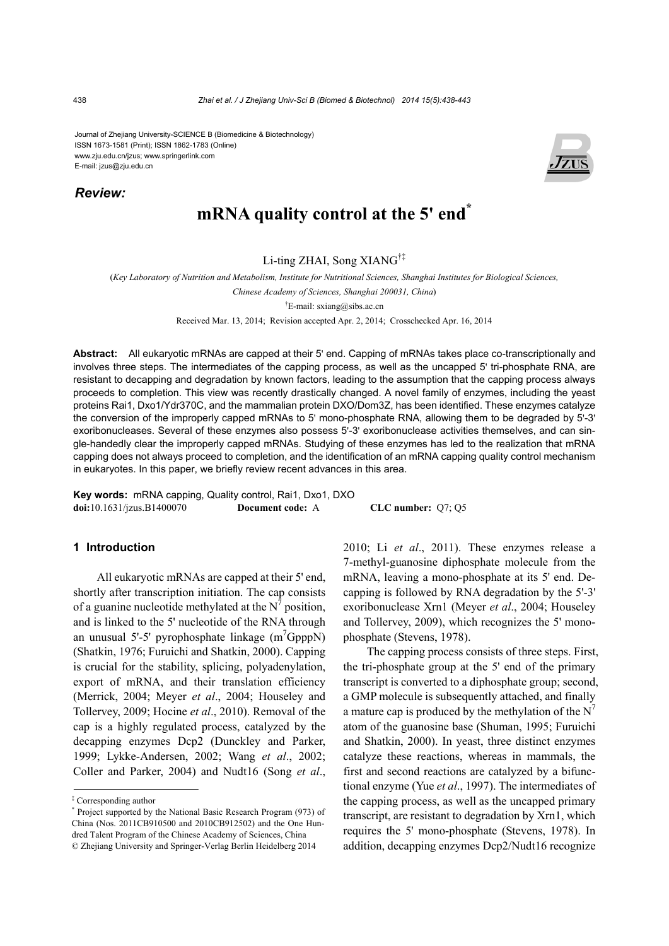Journal of Zhejiang University-SCIENCE B (Biomedicine & Biotechnology) ISSN 1673-1581 (Print); ISSN 1862-1783 (Online) www.zju.edu.cn/jzus; www.springerlink.com E-mail: jzus@zju.edu.cn

## *Review:*



## **mRNA** quality control at the 5' end<sup>\*</sup>

## Li-ting ZHAI, Song XIANG†‡

(*Key Laboratory of Nutrition and Metabolism, Institute for Nutritional Sciences, Shanghai Institutes for Biological Sciences, Chinese Academy of Sciences, Shanghai 200031, China*)

<sup>†</sup>E-mail: sxiang@sibs.ac.cn

Received Mar. 13, 2014; Revision accepted Apr. 2, 2014; Crosschecked Apr. 16, 2014

**Abstract:** All eukaryotic mRNAs are capped at their 5' end. Capping of mRNAs takes place co-transcriptionally and involves three steps. The intermediates of the capping process, as well as the uncapped 5' tri-phosphate RNA, are resistant to decapping and degradation by known factors, leading to the assumption that the capping process always proceeds to completion. This view was recently drastically changed. A novel family of enzymes, including the yeast proteins Rai1, Dxo1/Ydr370C, and the mammalian protein DXO/Dom3Z, has been identified. These enzymes catalyze the conversion of the improperly capped mRNAs to 5' mono-phosphate RNA, allowing them to be degraded by 5'-3' exoribonucleases. Several of these enzymes also possess 5'-3' exoribonuclease activities themselves, and can single-handedly clear the improperly capped mRNAs. Studying of these enzymes has led to the realization that mRNA capping does not always proceed to completion, and the identification of an mRNA capping quality control mechanism in eukaryotes. In this paper, we briefly review recent advances in this area.

**Key words:** mRNA capping, Quality control, Rai1, Dxo1, DXO **doi:**10.1631/jzus.B1400070 **Document code:** A **CLC number:** Q7; Q5

## **1 Introduction**

All eukaryotic mRNAs are capped at their 5' end, shortly after transcription initiation. The cap consists of a guanine nucleotide methylated at the  $N^7$  position, and is linked to the 5' nucleotide of the RNA through an unusual 5'-5' pyrophosphate linkage  $(m^7GpppN)$ (Shatkin, 1976; Furuichi and Shatkin, 2000). Capping is crucial for the stability, splicing, polyadenylation, export of mRNA, and their translation efficiency (Merrick, 2004; Meyer *et al*., 2004; Houseley and Tollervey, 2009; Hocine *et al*., 2010). Removal of the cap is a highly regulated process, catalyzed by the decapping enzymes Dcp2 (Dunckley and Parker, 1999; Lykke-Andersen, 2002; Wang *et al*., 2002; Coller and Parker, 2004) and Nudt16 (Song *et al*.,

2010; Li *et al*., 2011). These enzymes release a 7-methyl-guanosine diphosphate molecule from the mRNA, leaving a mono-phosphate at its 5' end. Decapping is followed by RNA degradation by the 5'-3' exoribonuclease Xrn1 (Meyer *et al*., 2004; Houseley and Tollervey, 2009), which recognizes the 5' monophosphate (Stevens, 1978).

The capping process consists of three steps. First, the tri-phosphate group at the 5' end of the primary transcript is converted to a diphosphate group; second, a GMP molecule is subsequently attached, and finally a mature cap is produced by the methylation of the  $N^7$ atom of the guanosine base (Shuman, 1995; Furuichi and Shatkin, 2000). In yeast, three distinct enzymes catalyze these reactions, whereas in mammals, the first and second reactions are catalyzed by a bifunctional enzyme (Yue *et al*., 1997). The intermediates of the capping process, as well as the uncapped primary transcript, are resistant to degradation by Xrn1, which requires the 5' mono-phosphate (Stevens, 1978). In addition, decapping enzymes Dcp2/Nudt16 recognize

<sup>‡</sup> Corresponding author

<sup>\*</sup> Project supported by the National Basic Research Program (973) of China (Nos. 2011CB910500 and 2010CB912502) and the One Hundred Talent Program of the Chinese Academy of Sciences, China © Zhejiang University and Springer-Verlag Berlin Heidelberg 2014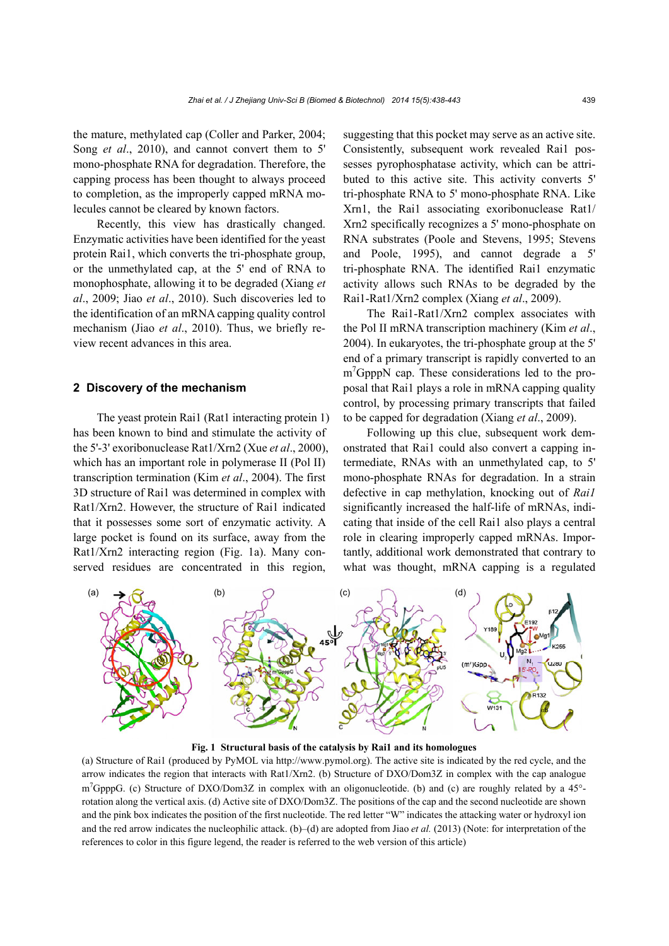the mature, methylated cap (Coller and Parker, 2004; Song *et al*., 2010), and cannot convert them to 5' mono-phosphate RNA for degradation. Therefore, the capping process has been thought to always proceed to completion, as the improperly capped mRNA molecules cannot be cleared by known factors.

Recently, this view has drastically changed. Enzymatic activities have been identified for the yeast protein Rai1, which converts the tri-phosphate group, or the unmethylated cap, at the 5' end of RNA to monophosphate, allowing it to be degraded (Xiang *et al*., 2009; Jiao *et al*., 2010). Such discoveries led to the identification of an mRNA capping quality control mechanism (Jiao *et al*., 2010). Thus, we briefly review recent advances in this area.

### **2 Discovery of the mechanism**

The yeast protein Rai1 (Rat1 interacting protein 1) has been known to bind and stimulate the activity of the 5'-3' exoribonuclease Rat1/Xrn2 (Xue *et al*., 2000), which has an important role in polymerase II (Pol II) transcription termination (Kim *et al*., 2004). The first 3D structure of Rai1 was determined in complex with Rat1/Xrn2. However, the structure of Rai1 indicated that it possesses some sort of enzymatic activity. A large pocket is found on its surface, away from the Rat1/Xrn2 interacting region (Fig. 1a). Many conserved residues are concentrated in this region,

suggesting that this pocket may serve as an active site. Consistently, subsequent work revealed Rai1 possesses pyrophosphatase activity, which can be attributed to this active site. This activity converts 5' tri-phosphate RNA to 5' mono-phosphate RNA. Like Xrn1, the Rai1 associating exoribonuclease Rat1/ Xrn2 specifically recognizes a 5' mono-phosphate on RNA substrates (Poole and Stevens, 1995; Stevens and Poole, 1995), and cannot degrade a 5' tri-phosphate RNA. The identified Rai1 enzymatic activity allows such RNAs to be degraded by the Rai1-Rat1/Xrn2 complex (Xiang *et al*., 2009).

The Rai1-Rat1/Xrn2 complex associates with the Pol II mRNA transcription machinery (Kim *et al*., 2004). In eukaryotes, the tri-phosphate group at the 5' end of a primary transcript is rapidly converted to an m<sup>7</sup>GpppN cap. These considerations led to the proposal that Rai1 plays a role in mRNA capping quality control, by processing primary transcripts that failed to be capped for degradation (Xiang *et al*., 2009).

Following up this clue, subsequent work demonstrated that Rai1 could also convert a capping intermediate, RNAs with an unmethylated cap, to 5' mono-phosphate RNAs for degradation. In a strain defective in cap methylation, knocking out of *Rai1* significantly increased the half-life of mRNAs, indicating that inside of the cell Rai1 also plays a central role in clearing improperly capped mRNAs. Importantly, additional work demonstrated that contrary to what was thought, mRNA capping is a regulated



**Fig. 1 Structural basis of the catalysis by Rai1 and its homologues** 

(a) Structure of Rai1 (produced by PyMOL via http://www.pymol.org). The active site is indicated by the red cycle, and the arrow indicates the region that interacts with Rat1/Xrn2. (b) Structure of DXO/Dom3Z in complex with the cap analogue m<sup>7</sup>GpppG. (c) Structure of DXO/Dom3Z in complex with an oligonucleotide. (b) and (c) are roughly related by a 45°rotation along the vertical axis. (d) Active site of DXO/Dom3Z. The positions of the cap and the second nucleotide are shown and the pink box indicates the position of the first nucleotide. The red letter "W" indicates the attacking water or hydroxyl ion and the red arrow indicates the nucleophilic attack. (b)–(d) are adopted from Jiao *et al.* (2013) (Note: for interpretation of the references to color in this figure legend, the reader is referred to the web version of this article)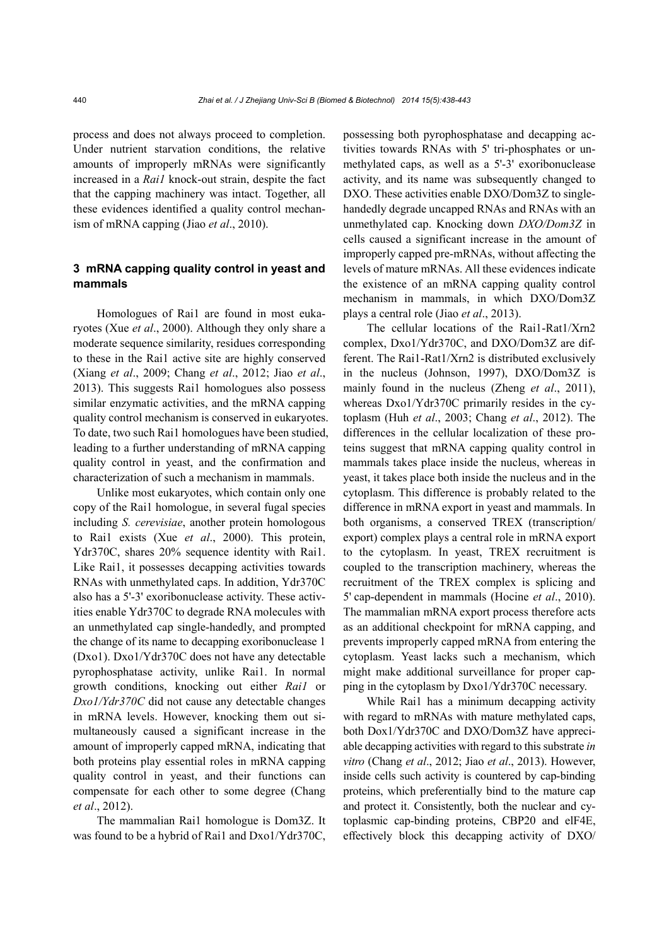process and does not always proceed to completion. Under nutrient starvation conditions, the relative amounts of improperly mRNAs were significantly increased in a *Rai1* knock-out strain, despite the fact that the capping machinery was intact. Together, all these evidences identified a quality control mechanism of mRNA capping (Jiao *et al*., 2010).

## **3 mRNA capping quality control in yeast and mammals**

Homologues of Rai1 are found in most eukaryotes (Xue *et al*., 2000). Although they only share a moderate sequence similarity, residues corresponding to these in the Rai1 active site are highly conserved (Xiang *et al*., 2009; Chang *et al*., 2012; Jiao *et al*., 2013). This suggests Rai1 homologues also possess similar enzymatic activities, and the mRNA capping quality control mechanism is conserved in eukaryotes. To date, two such Rai1 homologues have been studied, leading to a further understanding of mRNA capping quality control in yeast, and the confirmation and characterization of such a mechanism in mammals.

Unlike most eukaryotes, which contain only one copy of the Rai1 homologue, in several fugal species including *S. cerevisiae*, another protein homologous to Rai1 exists (Xue *et al*., 2000). This protein, Ydr370C, shares 20% sequence identity with Rai1. Like Rai1, it possesses decapping activities towards RNAs with unmethylated caps. In addition, Ydr370C also has a 5'-3' exoribonuclease activity. These activities enable Ydr370C to degrade RNA molecules with an unmethylated cap single-handedly, and prompted the change of its name to decapping exoribonuclease 1 (Dxo1). Dxo1/Ydr370C does not have any detectable pyrophosphatase activity, unlike Rai1. In normal growth conditions, knocking out either *Rai1* or *Dxo1/Ydr370C* did not cause any detectable changes in mRNA levels. However, knocking them out simultaneously caused a significant increase in the amount of improperly capped mRNA, indicating that both proteins play essential roles in mRNA capping quality control in yeast, and their functions can compensate for each other to some degree (Chang *et al*., 2012).

The mammalian Rai1 homologue is Dom3Z. It was found to be a hybrid of Rai1 and Dxo1/Ydr370C,

possessing both pyrophosphatase and decapping activities towards RNAs with 5' tri-phosphates or unmethylated caps, as well as a 5'-3' exoribonuclease activity, and its name was subsequently changed to DXO. These activities enable DXO/Dom3Z to singlehandedly degrade uncapped RNAs and RNAs with an unmethylated cap. Knocking down *DXO/Dom3Z* in cells caused a significant increase in the amount of improperly capped pre-mRNAs, without affecting the levels of mature mRNAs. All these evidences indicate the existence of an mRNA capping quality control mechanism in mammals, in which DXO/Dom3Z plays a central role (Jiao *et al*., 2013).

The cellular locations of the Rai1-Rat1/Xrn2 complex, Dxo1/Ydr370C, and DXO/Dom3Z are different. The Rai1-Rat1/Xrn2 is distributed exclusively in the nucleus (Johnson, 1997), DXO/Dom3Z is mainly found in the nucleus (Zheng *et al*., 2011), whereas Dxo1/Ydr370C primarily resides in the cytoplasm (Huh *et al*., 2003; Chang *et al*., 2012). The differences in the cellular localization of these proteins suggest that mRNA capping quality control in mammals takes place inside the nucleus, whereas in yeast, it takes place both inside the nucleus and in the cytoplasm. This difference is probably related to the difference in mRNA export in yeast and mammals. In both organisms, a conserved TREX (transcription/ export) complex plays a central role in mRNA export to the cytoplasm. In yeast, TREX recruitment is coupled to the transcription machinery, whereas the recruitment of the TREX complex is splicing and 5' cap-dependent in mammals (Hocine *et al*., 2010). The mammalian mRNA export process therefore acts as an additional checkpoint for mRNA capping, and prevents improperly capped mRNA from entering the cytoplasm. Yeast lacks such a mechanism, which might make additional surveillance for proper capping in the cytoplasm by Dxo1/Ydr370C necessary.

While Rai1 has a minimum decapping activity with regard to mRNAs with mature methylated caps, both Dox1/Ydr370C and DXO/Dom3Z have appreciable decapping activities with regard to this substrate *in vitro* (Chang *et al*., 2012; Jiao *et al*., 2013). However, inside cells such activity is countered by cap-binding proteins, which preferentially bind to the mature cap and protect it. Consistently, both the nuclear and cytoplasmic cap-binding proteins, CBP20 and elF4E, effectively block this decapping activity of DXO/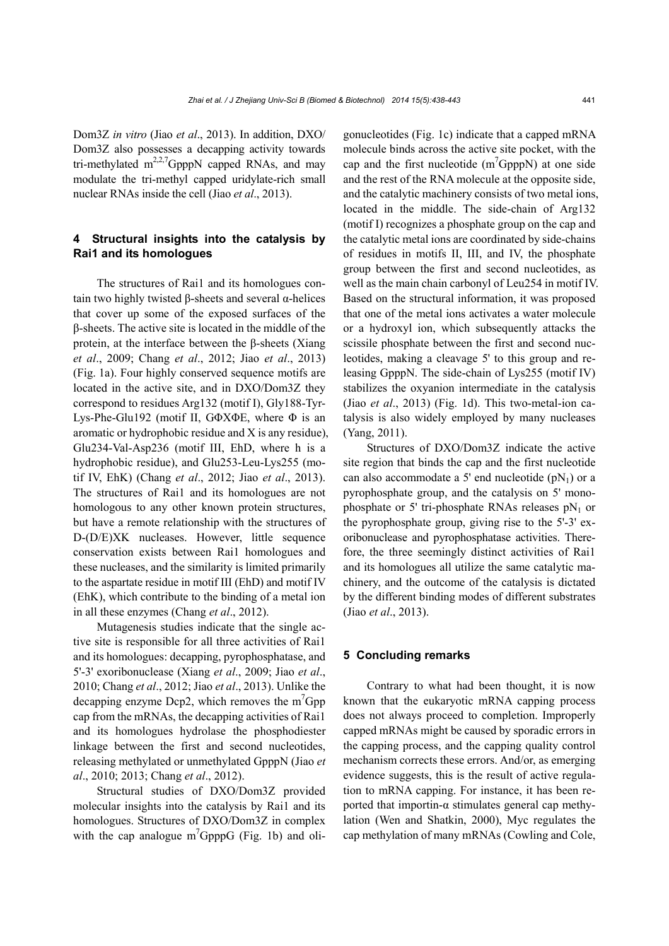Dom3Z *in vitro* (Jiao *et al*., 2013). In addition, DXO/ Dom3Z also possesses a decapping activity towards tri-methylated m<sup>2,2,7</sup>GpppN capped RNAs, and may modulate the tri-methyl capped uridylate-rich small nuclear RNAs inside the cell (Jiao *et al*., 2013).

## **4 Structural insights into the catalysis by Rai1 and its homologues**

The structures of Rai1 and its homologues contain two highly twisted β-sheets and several α-helices that cover up some of the exposed surfaces of the β-sheets. The active site is located in the middle of the protein, at the interface between the β-sheets (Xiang *et al*., 2009; Chang *et al*., 2012; Jiao *et al*., 2013) (Fig. 1a). Four highly conserved sequence motifs are located in the active site, and in DXO/Dom3Z they correspond to residues Arg132 (motif I), Gly188-Tyr-Lys-Phe-Glu192 (motif II, GΦXΦE, where Φ is an aromatic or hydrophobic residue and X is any residue), Glu234-Val-Asp236 (motif III, EhD, where h is a hydrophobic residue), and Glu253-Leu-Lys255 (motif IV, EhK) (Chang *et al*., 2012; Jiao *et al*., 2013). The structures of Rai1 and its homologues are not homologous to any other known protein structures, but have a remote relationship with the structures of D-(D/E)XK nucleases. However, little sequence conservation exists between Rai1 homologues and these nucleases, and the similarity is limited primarily to the aspartate residue in motif III (EhD) and motif IV (EhK), which contribute to the binding of a metal ion in all these enzymes (Chang *et al*., 2012).

Mutagenesis studies indicate that the single active site is responsible for all three activities of Rai1 and its homologues: decapping, pyrophosphatase, and 5'-3' exoribonuclease (Xiang *et al*., 2009; Jiao *et al*., 2010; Chang *et al*., 2012; Jiao *et al*., 2013). Unlike the decapping enzyme Dcp2, which removes the  $m^7Gpp$ cap from the mRNAs, the decapping activities of Rai1 and its homologues hydrolase the phosphodiester linkage between the first and second nucleotides, releasing methylated or unmethylated GpppN (Jiao *et al*., 2010; 2013; Chang *et al*., 2012).

Structural studies of DXO/Dom3Z provided molecular insights into the catalysis by Rai1 and its homologues. Structures of DXO/Dom3Z in complex with the cap analogue  $m^{7}GpppG$  (Fig. 1b) and oligonucleotides (Fig. 1c) indicate that a capped mRNA molecule binds across the active site pocket, with the cap and the first nucleotide  $(m^7GpppN)$  at one side and the rest of the RNA molecule at the opposite side, and the catalytic machinery consists of two metal ions, located in the middle. The side-chain of Arg132 (motif I) recognizes a phosphate group on the cap and the catalytic metal ions are coordinated by side-chains of residues in motifs II, III, and IV, the phosphate group between the first and second nucleotides, as well as the main chain carbonyl of Leu254 in motif IV. Based on the structural information, it was proposed that one of the metal ions activates a water molecule or a hydroxyl ion, which subsequently attacks the scissile phosphate between the first and second nucleotides, making a cleavage 5' to this group and releasing GpppN. The side-chain of Lys255 (motif IV) stabilizes the oxyanion intermediate in the catalysis (Jiao *et al*., 2013) (Fig. 1d). This two-metal-ion catalysis is also widely employed by many nucleases (Yang, 2011).

Structures of DXO/Dom3Z indicate the active site region that binds the cap and the first nucleotide can also accommodate a 5' end nucleotide  $(pN_1)$  or a pyrophosphate group, and the catalysis on 5' monophosphate or 5' tri-phosphate RNAs releases  $pN_1$  or the pyrophosphate group, giving rise to the 5'-3' exoribonuclease and pyrophosphatase activities. Therefore, the three seemingly distinct activities of Rai1 and its homologues all utilize the same catalytic machinery, and the outcome of the catalysis is dictated by the different binding modes of different substrates (Jiao *et al*., 2013).

#### **5 Concluding remarks**

Contrary to what had been thought, it is now known that the eukaryotic mRNA capping process does not always proceed to completion. Improperly capped mRNAs might be caused by sporadic errors in the capping process, and the capping quality control mechanism corrects these errors. And/or, as emerging evidence suggests, this is the result of active regulation to mRNA capping. For instance, it has been reported that importin-α stimulates general cap methylation (Wen and Shatkin, 2000), Myc regulates the cap methylation of many mRNAs (Cowling and Cole,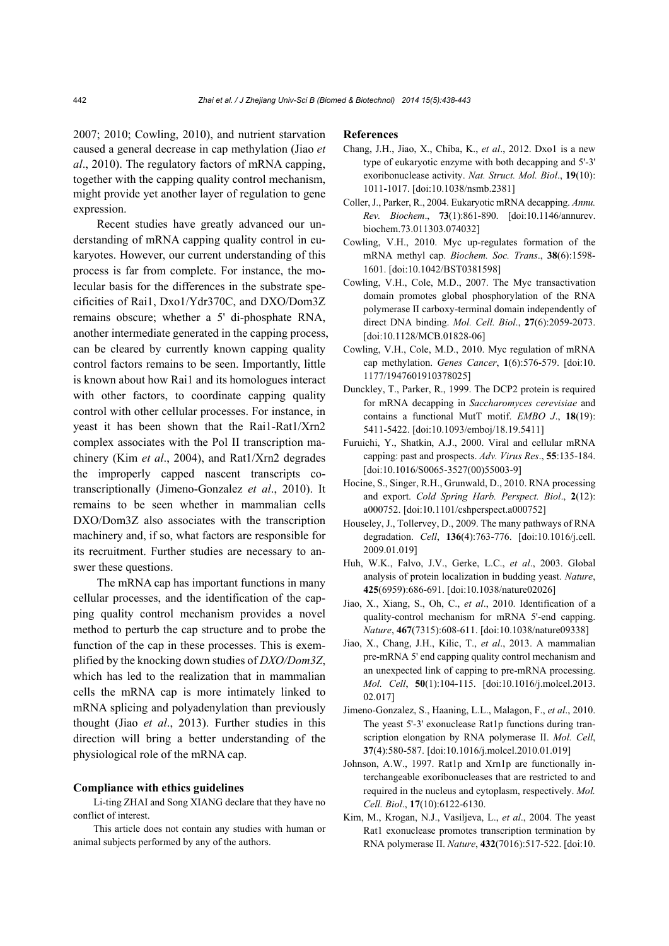2007; 2010; Cowling, 2010), and nutrient starvation caused a general decrease in cap methylation (Jiao *et al*., 2010). The regulatory factors of mRNA capping, together with the capping quality control mechanism, might provide yet another layer of regulation to gene expression.

Recent studies have greatly advanced our understanding of mRNA capping quality control in eukaryotes. However, our current understanding of this process is far from complete. For instance, the molecular basis for the differences in the substrate specificities of Rai1, Dxo1/Ydr370C, and DXO/Dom3Z remains obscure; whether a 5' di-phosphate RNA, another intermediate generated in the capping process, can be cleared by currently known capping quality control factors remains to be seen. Importantly, little is known about how Rai1 and its homologues interact with other factors, to coordinate capping quality control with other cellular processes. For instance, in yeast it has been shown that the Rai1-Rat1/Xrn2 complex associates with the Pol II transcription machinery (Kim *et al*., 2004), and Rat1/Xrn2 degrades the improperly capped nascent transcripts cotranscriptionally (Jimeno-Gonzalez *et al*., 2010). It remains to be seen whether in mammalian cells DXO/Dom3Z also associates with the transcription machinery and, if so, what factors are responsible for its recruitment. Further studies are necessary to answer these questions.

The mRNA cap has important functions in many cellular processes, and the identification of the capping quality control mechanism provides a novel method to perturb the cap structure and to probe the function of the cap in these processes. This is exemplified by the knocking down studies of *DXO/Dom3Z*, which has led to the realization that in mammalian cells the mRNA cap is more intimately linked to mRNA splicing and polyadenylation than previously thought (Jiao *et al*., 2013). Further studies in this direction will bring a better understanding of the physiological role of the mRNA cap.

#### **Compliance with ethics guidelines**

Li-ting ZHAI and Song XIANG declare that they have no conflict of interest.

This article does not contain any studies with human or animal subjects performed by any of the authors.

#### **References**

- Chang, J.H., Jiao, X., Chiba, K., *et al*., 2012. Dxo1 is a new type of eukaryotic enzyme with both decapping and 5'-3' exoribonuclease activity. *Nat. Struct. Mol. Biol*., **19**(10): 1011-1017. [doi:10.1038/nsmb.2381]
- Coller, J., Parker, R., 2004. Eukaryotic mRNA decapping. *Annu. Rev. Biochem*., **73**(1):861-890. [doi:10.1146/annurev. biochem.73.011303.074032]
- Cowling, V.H., 2010. Myc up-regulates formation of the mRNA methyl cap. *Biochem. Soc. Trans*., **38**(6):1598- 1601. [doi:10.1042/BST0381598]
- Cowling, V.H., Cole, M.D., 2007. The Myc transactivation domain promotes global phosphorylation of the RNA polymerase II carboxy-terminal domain independently of direct DNA binding. *Mol. Cell. Biol*., **27**(6):2059-2073. [doi:10.1128/MCB.01828-06]
- Cowling, V.H., Cole, M.D., 2010. Myc regulation of mRNA cap methylation. *Genes Cancer*, **1**(6):576-579. [doi:10. 1177/1947601910378025]
- Dunckley, T., Parker, R., 1999. The DCP2 protein is required for mRNA decapping in *Saccharomyces cerevisiae* and contains a functional MutT motif. *EMBO J*., **18**(19): 5411-5422. [doi:10.1093/emboj/18.19.5411]
- Furuichi, Y., Shatkin, A.J., 2000. Viral and cellular mRNA capping: past and prospects. *Adv. Virus Res*., **55**:135-184. [doi:10.1016/S0065-3527(00)55003-9]
- Hocine, S., Singer, R.H., Grunwald, D., 2010. RNA processing and export. *Cold Spring Harb. Perspect. Biol*., **2**(12): a000752. [doi:10.1101/cshperspect.a000752]
- Houseley, J., Tollervey, D., 2009. The many pathways of RNA degradation. *Cell*, **136**(4):763-776. [doi:10.1016/j.cell. 2009.01.019]
- Huh, W.K., Falvo, J.V., Gerke, L.C., *et al*., 2003. Global analysis of protein localization in budding yeast. *Nature*, **425**(6959):686-691. [doi:10.1038/nature02026]
- Jiao, X., Xiang, S., Oh, C., *et al*., 2010. Identification of a quality-control mechanism for mRNA 5'-end capping. *Nature*, **467**(7315):608-611. [doi:10.1038/nature09338]
- Jiao, X., Chang, J.H., Kilic, T., *et al*., 2013. A mammalian pre-mRNA 5' end capping quality control mechanism and an unexpected link of capping to pre-mRNA processing. *Mol. Cell*, **50**(1):104-115. [doi:10.1016/j.molcel.2013. 02.017]
- Jimeno-Gonzalez, S., Haaning, L.L., Malagon, F., *et al*., 2010. The yeast 5'-3' exonuclease Rat1p functions during transcription elongation by RNA polymerase II. *Mol. Cell*, **37**(4):580-587. [doi:10.1016/j.molcel.2010.01.019]
- Johnson, A.W., 1997. Rat1p and Xrn1p are functionally interchangeable exoribonucleases that are restricted to and required in the nucleus and cytoplasm, respectively. *Mol. Cell. Biol*., **17**(10):6122-6130.
- Kim, M., Krogan, N.J., Vasiljeva, L., *et al*., 2004. The yeast Rat1 exonuclease promotes transcription termination by RNA polymerase II. *Nature*, **432**(7016):517-522. [doi:10.